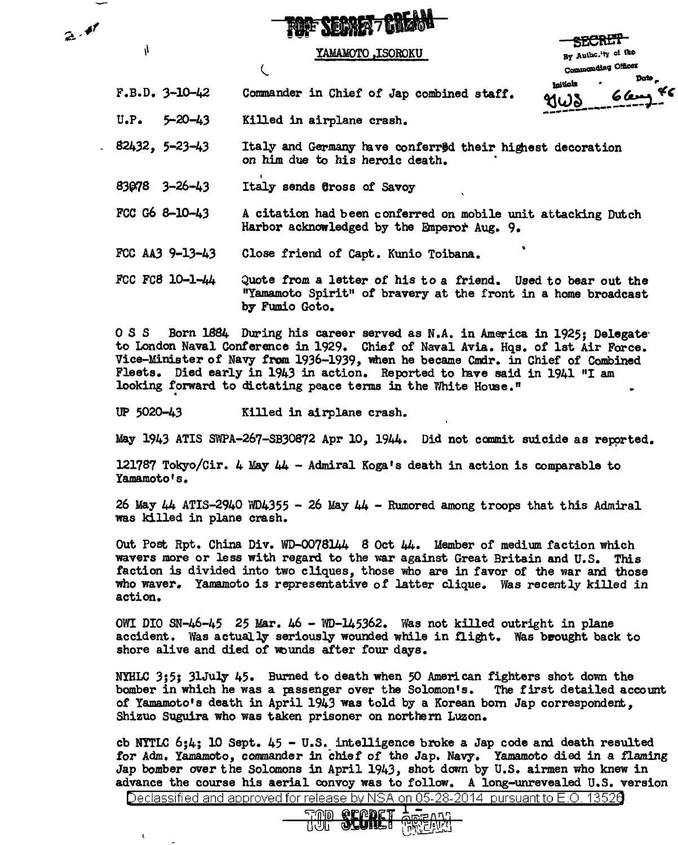|  | ARPÄR                    |
|--|--------------------------|
|  | <b>RIF SEDWA7 UNZION</b> |

## YAMAMOTO ,ISOROKU

SECRET By Authelity of the Commanding Officer Date هثمنانعا <u> 6 km</u> ধω১

F.B.D. 3-10-42 Comnander in Chief of Jap combined staff.

U.P. 5-20-43 Kil1ed in airplane crash.

 $\overline{C}$ 

 $2.4$ 

4

 $\pmb{\epsilon}$ 

- 82432, 5-23-43 Italy and Germany have conferred their highest decoration on him due to his heroic death.
- 83078 3-26-43 I Italy sends Cross of Savoy
- FCC G6 8-10-43 A citation had been conferred on mobile unit attacking Dutch Harbor acknowledged by the Emperor Aug. 9.
- FCC AA3 9-13-43 Close friend of Capt. Kunio Toibana.
- FCC FCS 10-1-44 Quote from a letter of his to a friend. Used to bear out the "Yamamoto Spirit" of bravery at the front in a home broadcast by Fumio Goto.

0 S S Born 1884 During his career served as N.A. in America in 1925; Delegate to London Naval Conference in 1929. Chief of Naval Avia. Hqs. of 1st Air Force. Vice-Minister of Navy from 1936-1939, when he became Cmdr. in Chief of Combined Fleets. Died early in 1943 in action. Reported to have said in 1941 "I am looking forward to dictating peace terms in the White House."

UP 5020-43 Killed in airplane crash.

May 1943 ATIS SWPA-267-SB30872 Apr 10, 1944. Did not camnit suicide as repprted.

121787 Tokyo/Cir. 4 May 44 - Admiral Koga•s death in action is comparable to Yamamoto's.

26 May 44 ATIS-2940 WD4355 - 26 May 44 - Rumored among troops that this Admiral was killed in plane crash.

Out Post Rpt. China Div. WD-0078144 8 Oct 44. Member of medium faction which wavers more or less with regard to the war against Great Britain and U.S. This faction is divided into two cliques, those who are in favor of the war and those who waver. Yamamoto is representative of latter clique. Was recently killed in action.

OWI DIO SN-46-45 25 Mar. 46 - WD-145362. Was not killed outright in plane accident. Was actually seriously wounded while in flight. Was brought back to shore alive and died of wounds after four days.

NYHLC 3;5; 31July 45. Burned to death when 50 American fighters shot down the bomber in which he was a passenger over the Solomon's. The first detailed account bomber in which he was a passenger over the Solomon's. of Yamamoto's death in April 1943 was told by a Korean born Jap correspondent. Shizuo Suguira who was taken prisoner on northern Luzon.

cb NYTLC  $6;4;$  10 Sept.  $45 - U.S.$  intelligence broke a Jap code and death resulted for Adm. Yamamoto, commander in chief of the Jap. Navy. Yamamoto died in a fiaming Jap bomber over the Solomons in April 1943, shot dovm by U.S. airmen who knew in advance the course his aerial convoy was to follow. A long-unrevealed U.S. version